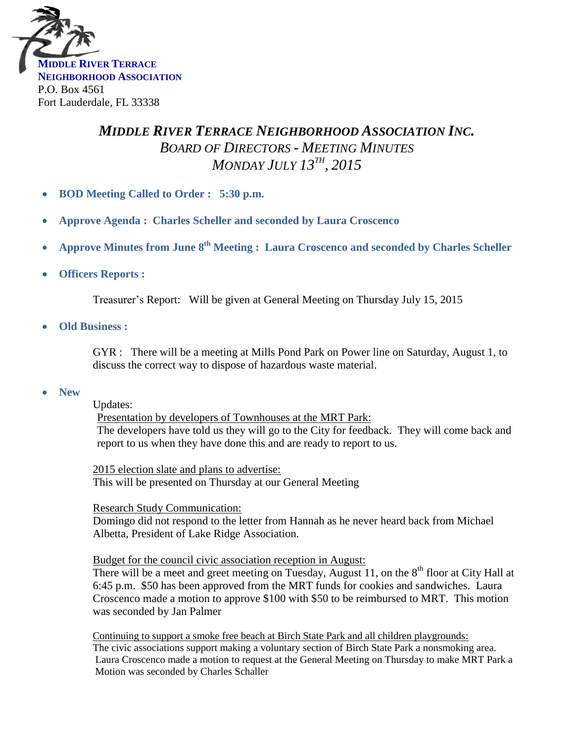

## *MIDDLE RIVER TERRACE NEIGHBORHOOD ASSOCIATION INC. BOARD OF DIRECTORS - MEETING MINUTES MONDAY JULY 13TH , 2015*

- **BOD Meeting Called to Order : 5:30 p.m.**
- **Approve Agenda : Charles Scheller and seconded by Laura Croscenco**
- **Approve Minutes from June 8<sup>th</sup> Meeting : Laura Croscenco and seconded by Charles Scheller**
- **Officers Reports :**

Treasurer's Report: Will be given at General Meeting on Thursday July 15, 2015

**Old Business :**

GYR : There will be a meeting at Mills Pond Park on Power line on Saturday, August 1, to discuss the correct way to dispose of hazardous waste material.

**New** 

Updates:

Presentation by developers of Townhouses at the MRT Park: The developers have told us they will go to the City for feedback. They will come back and report to us when they have done this and are ready to report to us.

2015 election slate and plans to advertise: This will be presented on Thursday at our General Meeting

Research Study Communication:

Domingo did not respond to the letter from Hannah as he never heard back from Michael Albetta, President of Lake Ridge Association.

Budget for the council civic association reception in August:

There will be a meet and greet meeting on Tuesday, August 11, on the  $8<sup>th</sup>$  floor at City Hall at 6:45 p.m. \$50 has been approved from the MRT funds for cookies and sandwiches. Laura Croscenco made a motion to approve \$100 with \$50 to be reimbursed to MRT. This motion was seconded by Jan Palmer

 Continuing to support a smoke free beach at Birch State Park and all children playgrounds: The civic associations support making a voluntary section of Birch State Park a nonsmoking area. Laura Croscenco made a motion to request at the General Meeting on Thursday to make MRT Park a Motion was seconded by Charles Schaller